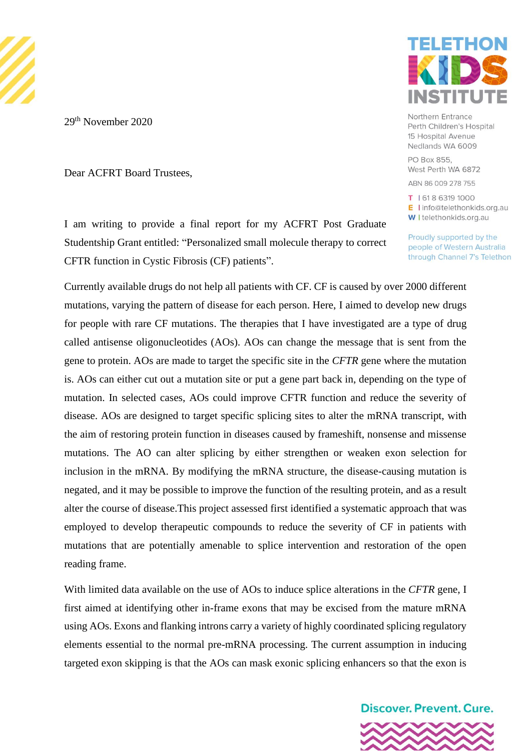

29<sup>th</sup> November 2020

Dear ACFRT Board Trustees,

# ELETHO

Northern Entrance Perth Children's Hospital 15 Hospital Avenue Nedlands WA 6009

PO Box 855, West Perth WA 6872

ABN 86 009 278 755

T | 618 6319 1000 E I info@telethonkids.org.au W I telethonkids.org.au

Proudly supported by the people of Western Australia through Channel 7's Telethon

I am writing to provide a final report for my ACFRT Post Graduate Studentship Grant entitled: "Personalized small molecule therapy to correct CFTR function in Cystic Fibrosis (CF) patients".

Currently available drugs do not help all patients with CF. CF is caused by over 2000 different mutations, varying the pattern of disease for each person. Here, I aimed to develop new drugs for people with rare CF mutations. The therapies that I have investigated are a type of drug called antisense oligonucleotides (AOs). AOs can change the message that is sent from the gene to protein. AOs are made to target the specific site in the *CFTR* gene where the mutation is. AOs can either cut out a mutation site or put a gene part back in, depending on the type of mutation. In selected cases, AOs could improve CFTR function and reduce the severity of disease. AOs are designed to target specific splicing sites to alter the mRNA transcript, with the aim of restoring protein function in diseases caused by frameshift, nonsense and missense mutations. The AO can alter splicing by either strengthen or weaken exon selection for inclusion in the mRNA. By modifying the mRNA structure, the disease-causing mutation is negated, and it may be possible to improve the function of the resulting protein, and as a result alter the course of disease.This project assessed first identified a systematic approach that was employed to develop therapeutic compounds to reduce the severity of CF in patients with mutations that are potentially amenable to splice intervention and restoration of the open reading frame.

With limited data available on the use of AOs to induce splice alterations in the *CFTR* gene, I first aimed at identifying other in-frame exons that may be excised from the mature mRNA using AOs. Exons and flanking introns carry a variety of highly coordinated splicing regulatory elements essential to the normal pre-mRNA processing. The current assumption in inducing targeted exon skipping is that the AOs can mask exonic splicing enhancers so that the exon is

**Discover, Prevent, Cure.** 

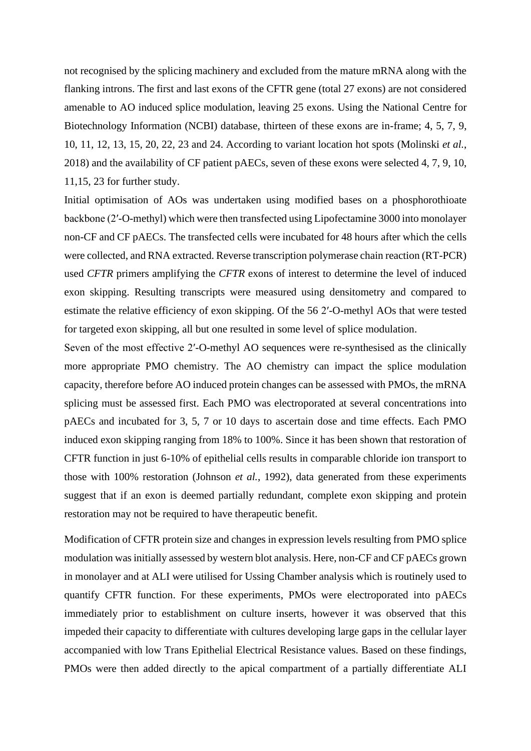not recognised by the splicing machinery and excluded from the mature mRNA along with the flanking introns. The first and last exons of the CFTR gene (total 27 exons) are not considered amenable to AO induced splice modulation, leaving 25 exons. Using the National Centre for Biotechnology Information (NCBI) database, thirteen of these exons are in-frame; 4, 5, 7, 9, 10, 11, 12, 13, 15, 20, 22, 23 and 24. According to variant location hot spots (Molinski *et al.*, 2018) and the availability of CF patient pAECs, seven of these exons were selected 4, 7, 9, 10, 11,15, 23 for further study.

Initial optimisation of AOs was undertaken using modified bases on a phosphorothioate backbone (2′-O-methyl) which were then transfected using Lipofectamine 3000 into monolayer non-CF and CF pAECs. The transfected cells were incubated for 48 hours after which the cells were collected, and RNA extracted. Reverse transcription polymerase chain reaction (RT-PCR) used *CFTR* primers amplifying the *CFTR* exons of interest to determine the level of induced exon skipping. Resulting transcripts were measured using densitometry and compared to estimate the relative efficiency of exon skipping. Of the 56 2′-O-methyl AOs that were tested for targeted exon skipping, all but one resulted in some level of splice modulation.

Seven of the most effective 2′-O-methyl AO sequences were re-synthesised as the clinically more appropriate PMO chemistry. The AO chemistry can impact the splice modulation capacity, therefore before AO induced protein changes can be assessed with PMOs, the mRNA splicing must be assessed first. Each PMO was electroporated at several concentrations into pAECs and incubated for 3, 5, 7 or 10 days to ascertain dose and time effects. Each PMO induced exon skipping ranging from 18% to 100%. Since it has been shown that restoration of CFTR function in just 6-10% of epithelial cells results in comparable chloride ion transport to those with 100% restoration (Johnson *et al.*, 1992), data generated from these experiments suggest that if an exon is deemed partially redundant, complete exon skipping and protein restoration may not be required to have therapeutic benefit.

Modification of CFTR protein size and changes in expression levels resulting from PMO splice modulation was initially assessed by western blot analysis. Here, non-CF and CF pAECs grown in monolayer and at ALI were utilised for Ussing Chamber analysis which is routinely used to quantify CFTR function. For these experiments, PMOs were electroporated into pAECs immediately prior to establishment on culture inserts, however it was observed that this impeded their capacity to differentiate with cultures developing large gaps in the cellular layer accompanied with low Trans Epithelial Electrical Resistance values. Based on these findings, PMOs were then added directly to the apical compartment of a partially differentiate ALI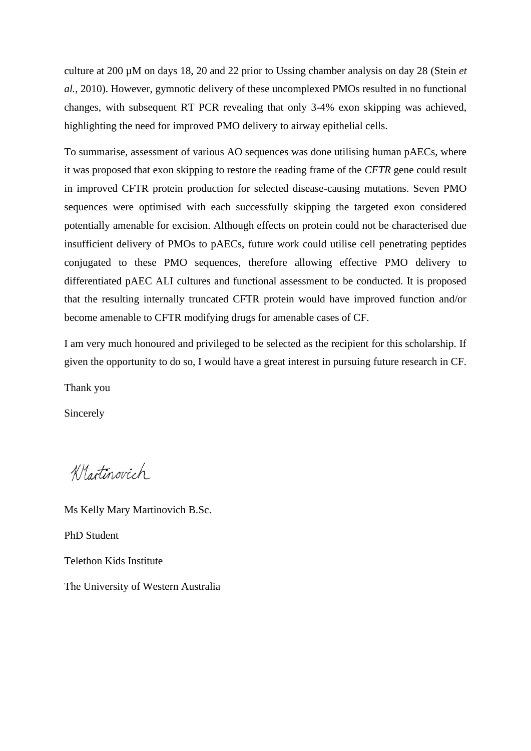culture at 200 µM on days 18, 20 and 22 prior to Ussing chamber analysis on day 28 (Stein *et al.*, 2010). However, gymnotic delivery of these uncomplexed PMOs resulted in no functional changes, with subsequent RT PCR revealing that only 3-4% exon skipping was achieved, highlighting the need for improved PMO delivery to airway epithelial cells.

To summarise, assessment of various AO sequences was done utilising human pAECs, where it was proposed that exon skipping to restore the reading frame of the *CFTR* gene could result in improved CFTR protein production for selected disease-causing mutations. Seven PMO sequences were optimised with each successfully skipping the targeted exon considered potentially amenable for excision. Although effects on protein could not be characterised due insufficient delivery of PMOs to pAECs, future work could utilise cell penetrating peptides conjugated to these PMO sequences, therefore allowing effective PMO delivery to differentiated pAEC ALI cultures and functional assessment to be conducted. It is proposed that the resulting internally truncated CFTR protein would have improved function and/or become amenable to CFTR modifying drugs for amenable cases of CF.

I am very much honoured and privileged to be selected as the recipient for this scholarship. If given the opportunity to do so, I would have a great interest in pursuing future research in CF.

Thank you

Sincerely

Knotinovich

Ms Kelly Mary Martinovich B.Sc. PhD Student Telethon Kids Institute The University of Western Australia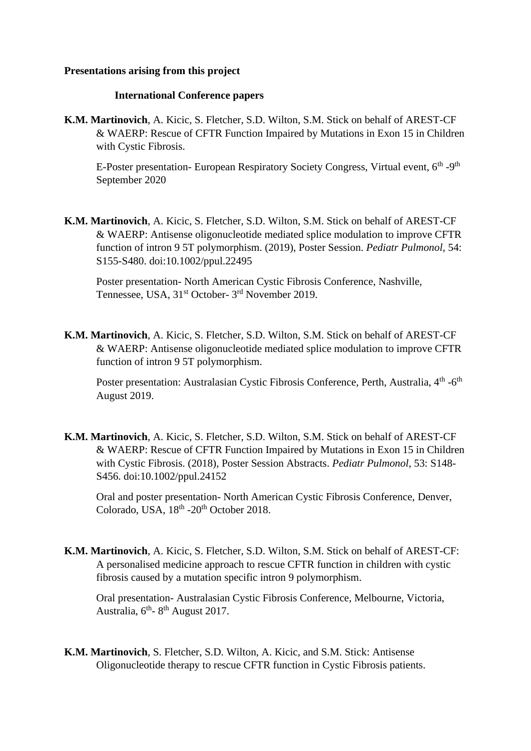# **Presentations arising from this project**

## **International Conference papers**

**K.M. Martinovich**, A. Kicic, S. Fletcher, S.D. Wilton, S.M. Stick on behalf of AREST-CF & WAERP: Rescue of CFTR Function Impaired by Mutations in Exon 15 in Children with Cystic Fibrosis.

E-Poster presentation- European Respiratory Society Congress, Virtual event, 6<sup>th</sup> -9<sup>th</sup> September 2020

**K.M. Martinovich**, A. Kicic, S. Fletcher, S.D. Wilton, S.M. Stick on behalf of AREST-CF & WAERP: Antisense oligonucleotide mediated splice modulation to improve CFTR function of intron 9 5T polymorphism. (2019), Poster Session. *Pediatr Pulmonol*, 54: S155-S480. doi:10.1002/ppul.22495

Poster presentation- North American Cystic Fibrosis Conference, Nashville, Tennessee, USA, 31<sup>st</sup> October- 3<sup>rd</sup> November 2019.

**K.M. Martinovich**, A. Kicic, S. Fletcher, S.D. Wilton, S.M. Stick on behalf of AREST-CF & WAERP: Antisense oligonucleotide mediated splice modulation to improve CFTR function of intron 9 5T polymorphism.

Poster presentation: Australasian Cystic Fibrosis Conference, Perth, Australia, 4<sup>th</sup> -6<sup>th</sup> August 2019.

**K.M. Martinovich**, A. Kicic, S. Fletcher, S.D. Wilton, S.M. Stick on behalf of AREST-CF & WAERP: Rescue of CFTR Function Impaired by Mutations in Exon 15 in Children with Cystic Fibrosis. (2018), Poster Session Abstracts. *Pediatr Pulmonol*, 53: S148- S456. doi:10.1002/ppul.24152

Oral and poster presentation- North American Cystic Fibrosis Conference, Denver, Colorado, USA, 18<sup>th</sup> -20<sup>th</sup> October 2018.

**K.M. Martinovich**, A. Kicic, S. Fletcher, S.D. Wilton, S.M. Stick on behalf of AREST-CF: A personalised medicine approach to rescue CFTR function in children with cystic fibrosis caused by a mutation specific intron 9 polymorphism.

Oral presentation- Australasian Cystic Fibrosis Conference, Melbourne, Victoria, Australia,  $6<sup>th</sup>$ - 8<sup>th</sup> August 2017.

**K.M. Martinovich**, S. Fletcher, S.D. Wilton, A. Kicic, and S.M. Stick: Antisense Oligonucleotide therapy to rescue CFTR function in Cystic Fibrosis patients.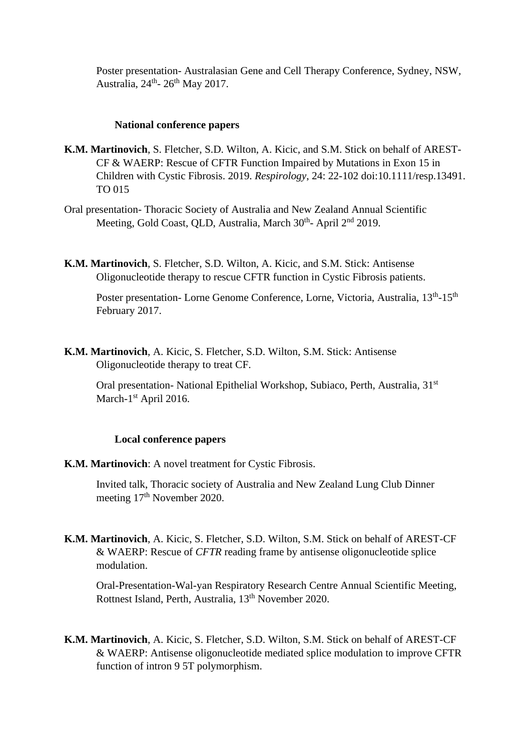Poster presentation- Australasian Gene and Cell Therapy Conference, Sydney, NSW, Australia, 24<sup>th</sup>- 26<sup>th</sup> May 2017.

### **National conference papers**

- **K.M. Martinovich**, S. Fletcher, S.D. Wilton, A. Kicic, and S.M. Stick on behalf of AREST-CF & WAERP: Rescue of CFTR Function Impaired by Mutations in Exon 15 in Children with Cystic Fibrosis. 2019. *Respirology*, 24: 22-102 doi:10.1111/resp.13491. TO 015
- Oral presentation- Thoracic Society of Australia and New Zealand Annual Scientific Meeting, Gold Coast, QLD, Australia, March 30<sup>th</sup>- April 2<sup>nd</sup> 2019.
- **K.M. Martinovich**, S. Fletcher, S.D. Wilton, A. Kicic, and S.M. Stick: Antisense Oligonucleotide therapy to rescue CFTR function in Cystic Fibrosis patients.

Poster presentation- Lorne Genome Conference, Lorne, Victoria, Australia, 13<sup>th</sup>-15<sup>th</sup> February 2017.

**K.M. Martinovich**, A. Kicic, S. Fletcher, S.D. Wilton, S.M. Stick: Antisense Oligonucleotide therapy to treat CF.

Oral presentation- National Epithelial Workshop, Subiaco, Perth, Australia, 31<sup>st</sup> March-1<sup>st</sup> April 2016.

### **Local conference papers**

**K.M. Martinovich**: A novel treatment for Cystic Fibrosis.

Invited talk, Thoracic society of Australia and New Zealand Lung Club Dinner meeting 17<sup>th</sup> November 2020.

**K.M. Martinovich**, A. Kicic, S. Fletcher, S.D. Wilton, S.M. Stick on behalf of AREST-CF & WAERP: Rescue of *CFTR* reading frame by antisense oligonucleotide splice modulation.

Oral-Presentation-Wal-yan Respiratory Research Centre Annual Scientific Meeting, Rottnest Island, Perth, Australia, 13th November 2020.

**K.M. Martinovich**, A. Kicic, S. Fletcher, S.D. Wilton, S.M. Stick on behalf of AREST-CF & WAERP: Antisense oligonucleotide mediated splice modulation to improve CFTR function of intron 9 5T polymorphism.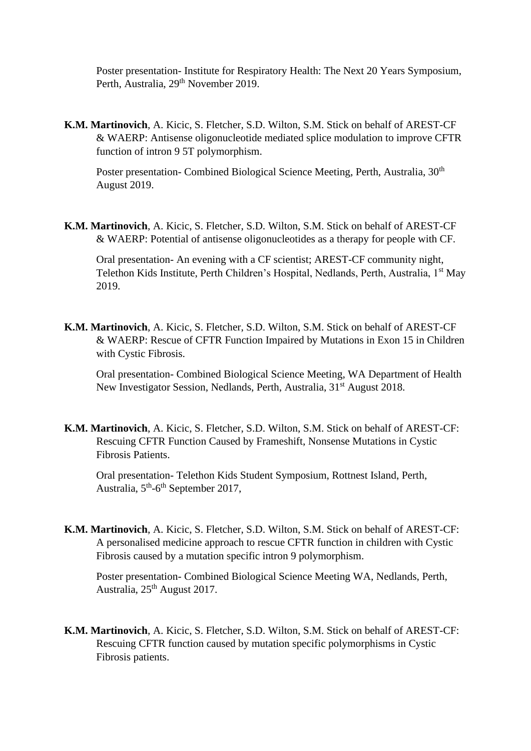Poster presentation- Institute for Respiratory Health: The Next 20 Years Symposium, Perth, Australia, 29<sup>th</sup> November 2019.

**K.M. Martinovich**, A. Kicic, S. Fletcher, S.D. Wilton, S.M. Stick on behalf of AREST-CF & WAERP: Antisense oligonucleotide mediated splice modulation to improve CFTR function of intron 9 5T polymorphism.

Poster presentation- Combined Biological Science Meeting, Perth, Australia, 30<sup>th</sup> August 2019.

**K.M. Martinovich**, A. Kicic, S. Fletcher, S.D. Wilton, S.M. Stick on behalf of AREST-CF & WAERP: Potential of antisense oligonucleotides as a therapy for people with CF.

Oral presentation- An evening with a CF scientist; AREST-CF community night, Telethon Kids Institute, Perth Children's Hospital, Nedlands, Perth, Australia, 1<sup>st</sup> May 2019.

**K.M. Martinovich**, A. Kicic, S. Fletcher, S.D. Wilton, S.M. Stick on behalf of AREST-CF & WAERP: Rescue of CFTR Function Impaired by Mutations in Exon 15 in Children with Cystic Fibrosis.

Oral presentation- Combined Biological Science Meeting, WA Department of Health New Investigator Session, Nedlands, Perth, Australia, 31<sup>st</sup> August 2018.

**K.M. Martinovich**, A. Kicic, S. Fletcher, S.D. Wilton, S.M. Stick on behalf of AREST-CF: Rescuing CFTR Function Caused by Frameshift, Nonsense Mutations in Cystic Fibrosis Patients.

Oral presentation- Telethon Kids Student Symposium, Rottnest Island, Perth, Australia, 5<sup>th</sup>-6<sup>th</sup> September 2017,

**K.M. Martinovich**, A. Kicic, S. Fletcher, S.D. Wilton, S.M. Stick on behalf of AREST-CF: A personalised medicine approach to rescue CFTR function in children with Cystic Fibrosis caused by a mutation specific intron 9 polymorphism.

Poster presentation- Combined Biological Science Meeting WA, Nedlands, Perth, Australia, 25<sup>th</sup> August 2017.

**K.M. Martinovich**, A. Kicic, S. Fletcher, S.D. Wilton, S.M. Stick on behalf of AREST-CF: Rescuing CFTR function caused by mutation specific polymorphisms in Cystic Fibrosis patients.